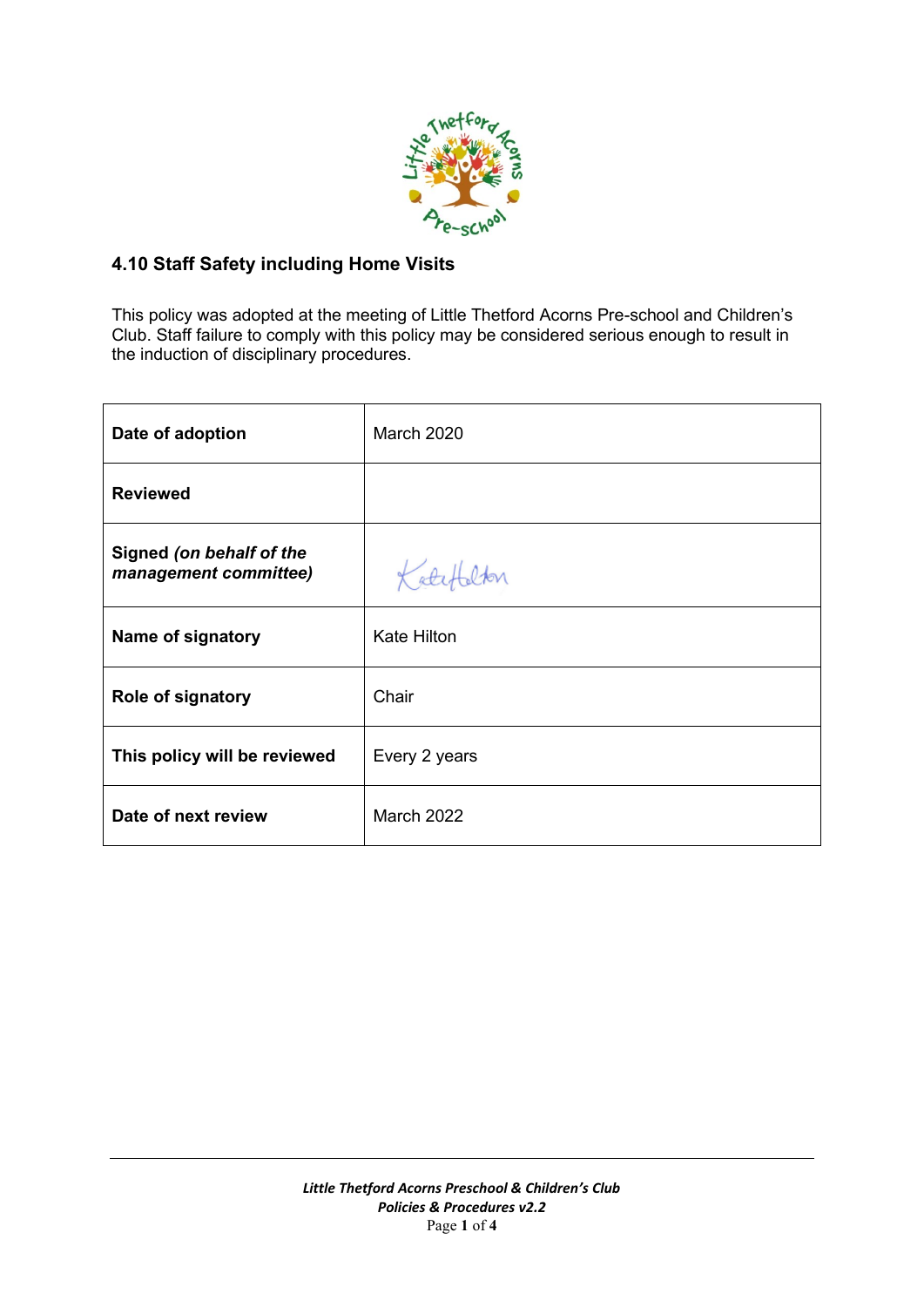

# **4.10 Staff Safety including Home Visits**

This policy was adopted at the meeting of Little Thetford Acorns Pre-school and Children's Club. Staff failure to comply with this policy may be considered serious enough to result in the induction of disciplinary procedures.

| Date of adoption                                  | March 2020         |
|---------------------------------------------------|--------------------|
| <b>Reviewed</b>                                   |                    |
| Signed (on behalf of the<br>management committee) | Katef<br>alton     |
| Name of signatory                                 | <b>Kate Hilton</b> |
| <b>Role of signatory</b>                          | Chair              |
| This policy will be reviewed                      | Every 2 years      |
| Date of next review                               | March 2022         |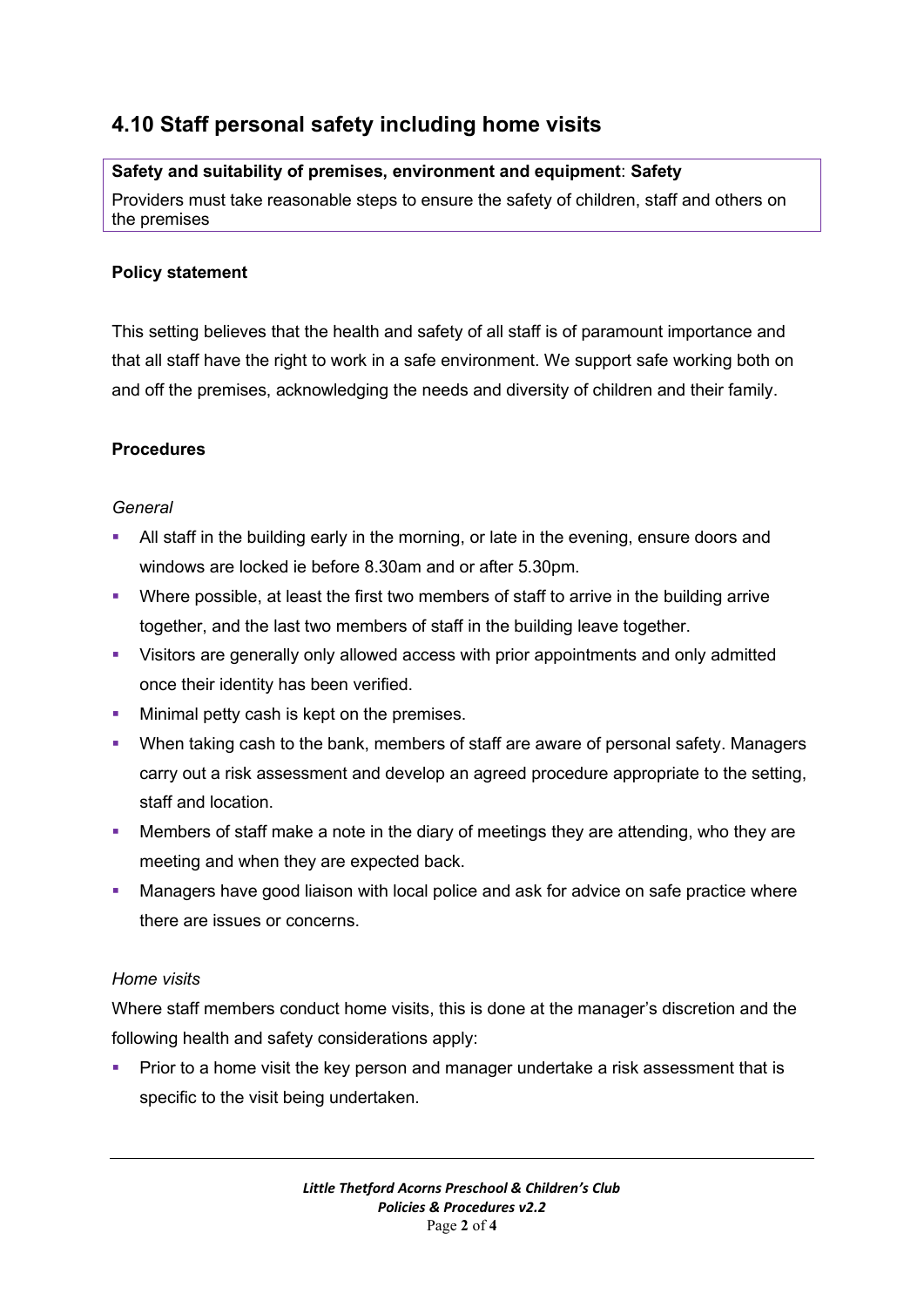# **4.10 Staff personal safety including home visits**

# **Safety and suitability of premises, environment and equipment**: **Safety**

Providers must take reasonable steps to ensure the safety of children, staff and others on the premises

### **Policy statement**

This setting believes that the health and safety of all staff is of paramount importance and that all staff have the right to work in a safe environment. We support safe working both on and off the premises, acknowledging the needs and diversity of children and their family.

## **Procedures**

#### *General*

- All staff in the building early in the morning, or late in the evening, ensure doors and windows are locked ie before 8.30am and or after 5.30pm.
- Where possible, at least the first two members of staff to arrive in the building arrive together, and the last two members of staff in the building leave together.
- Visitors are generally only allowed access with prior appointments and only admitted once their identity has been verified.
- **■** Minimal petty cash is kept on the premises.
- When taking cash to the bank, members of staff are aware of personal safety. Managers carry out a risk assessment and develop an agreed procedure appropriate to the setting, staff and location.
- **■** Members of staff make a note in the diary of meetings they are attending, who they are meeting and when they are expected back.
- **■** Managers have good liaison with local police and ask for advice on safe practice where there are issues or concerns.

#### *Home visits*

Where staff members conduct home visits, this is done at the manager's discretion and the following health and safety considerations apply:

Prior to a home visit the key person and manager undertake a risk assessment that is specific to the visit being undertaken.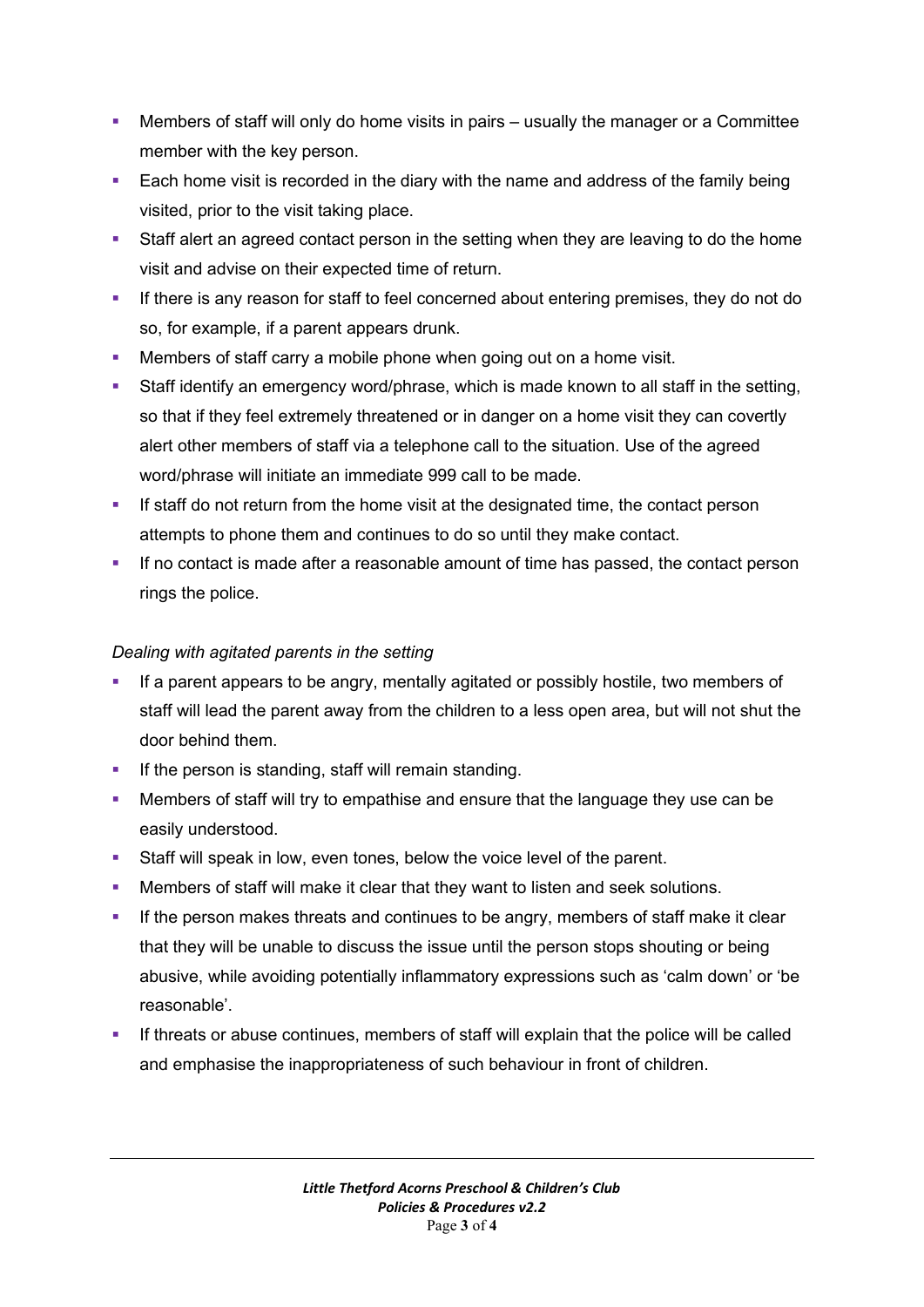- **•** Members of staff will only do home visits in pairs usually the manager or a Committee member with the key person.
- Each home visit is recorded in the diary with the name and address of the family being visited, prior to the visit taking place.
- Staff alert an agreed contact person in the setting when they are leaving to do the home visit and advise on their expected time of return.
- **·** If there is any reason for staff to feel concerned about entering premises, they do not do so, for example, if a parent appears drunk.
- **Members of staff carry a mobile phone when going out on a home visit.**
- **E** Staff identify an emergency word/phrase, which is made known to all staff in the setting, so that if they feel extremely threatened or in danger on a home visit they can covertly alert other members of staff via a telephone call to the situation. Use of the agreed word/phrase will initiate an immediate 999 call to be made.
- **.** If staff do not return from the home visit at the designated time, the contact person attempts to phone them and continues to do so until they make contact.
- **.** If no contact is made after a reasonable amount of time has passed, the contact person rings the police.

#### *Dealing with agitated parents in the setting*

- **.** If a parent appears to be angry, mentally agitated or possibly hostile, two members of staff will lead the parent away from the children to a less open area, but will not shut the door behind them.
- **•** If the person is standing, staff will remain standing.
- **Members of staff will try to empathise and ensure that the language they use can be** easily understood.
- Staff will speak in low, even tones, below the voice level of the parent.
- Members of staff will make it clear that they want to listen and seek solutions.
- **.** If the person makes threats and continues to be angry, members of staff make it clear that they will be unable to discuss the issue until the person stops shouting or being abusive, while avoiding potentially inflammatory expressions such as 'calm down' or 'be reasonable'.
- **•** If threats or abuse continues, members of staff will explain that the police will be called and emphasise the inappropriateness of such behaviour in front of children.